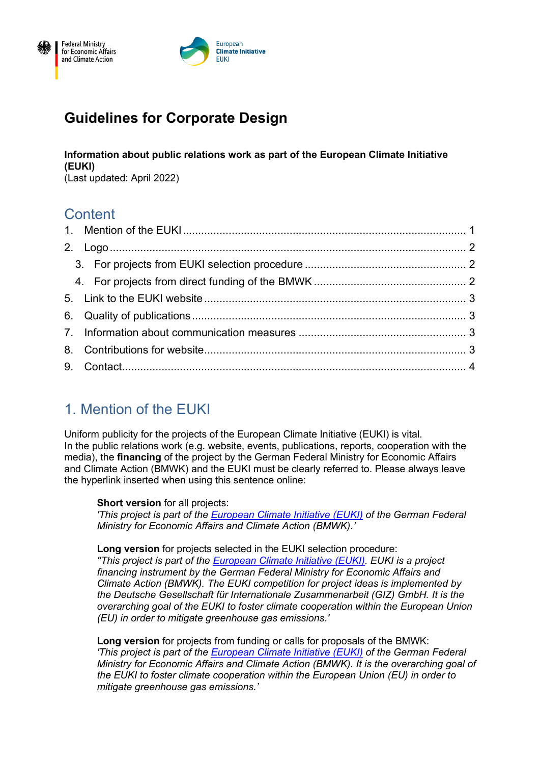



# **Guidelines for Corporate Design**

**Information about public relations work as part of the European Climate Initiative (EUKI)**

(Last updated: April 2022)

## **Content**

## <span id="page-0-0"></span>1. Mention of the EUKI

Uniform publicity for the projects of the European Climate Initiative (EUKI) is vital. In the public relations work (e.g. website, events, publications, reports, cooperation with the media), the **financing** of the project by the German Federal Ministry for Economic Affairs and Climate Action (BMWK) and the EUKI must be clearly referred to. Please always leave the hyperlink inserted when using this sentence online:

**Short version** for all projects:

*'This project is part of the [European Climate Initiative \(EUKI\)](https://www.euki.de/en) of the German Federal Ministry for Economic Affairs and Climate Action (BMWK).'*

**Long version** for projects selected in the EUKI selection procedure:

*''This project is part of the [European Climate Initiative \(EUKI\).](https://www.euki.de/en/) EUKI is a project financing instrument by the German Federal Ministry for Economic Affairs and Climate Action (BMWK). The EUKI competition for project ideas is implemented by the Deutsche Gesellschaft für Internationale Zusammenarbeit (GIZ) GmbH. It is the overarching goal of the EUKI to foster climate cooperation within the European Union (EU) in order to mitigate greenhouse gas emissions.'*

**Long version** for projects from funding or calls for proposals of the BMWK: *'This project is part of the [European Climate Initiative \(EUKI\)](https://www.euki.de/en/) of the German Federal Ministry for Economic Affairs and Climate Action (BMWK). It is the overarching goal of the EUKI to foster climate cooperation within the European Union (EU) in order to mitigate greenhouse gas emissions.'*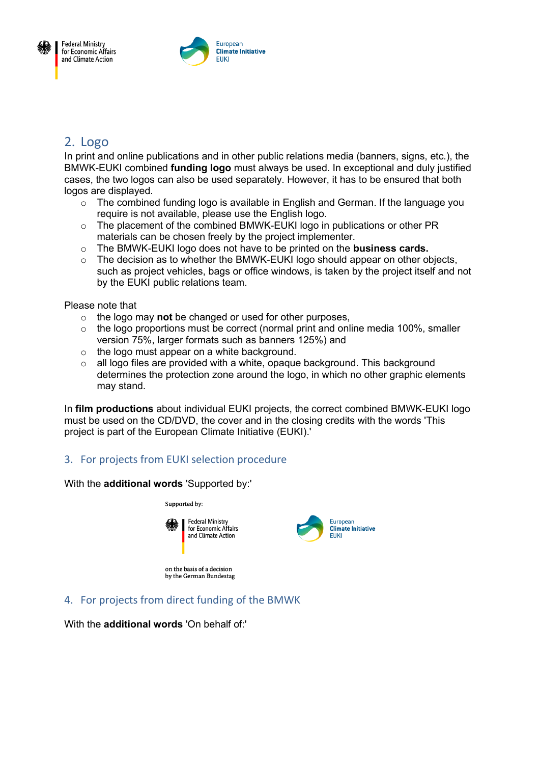



## <span id="page-1-0"></span>2. Logo

In print and online publications and in other public relations media (banners, signs, etc.), the BMWK-EUKI combined **funding logo** must always be used. In exceptional and duly justified cases, the two logos can also be used separately. However, it has to be ensured that both logos are displayed.

- o The combined funding logo is available in English and German. If the language you require is not available, please use the English logo.
- $\circ$  The placement of the combined BMWK-EUKI logo in publications or other PR materials can be chosen freely by the project implementer.
- o The BMWK-EUKI logo does not have to be printed on the **business cards.**
- $\circ$  The decision as to whether the BMWK-EUKI logo should appear on other objects, such as project vehicles, bags or office windows, is taken by the project itself and not by the EUKI public relations team.

Please note that

- o the logo may **not** be changed or used for other purposes,
- $\circ$  the logo proportions must be correct (normal print and online media 100%, smaller version 75%, larger formats such as banners 125%) and
- o the logo must appear on a white background.
- $\circ$  all logo files are provided with a white, opaque background. This background determines the protection zone around the logo, in which no other graphic elements may stand.

In **film productions** about individual EUKI projects, the correct combined BMWK-EUKI logo must be used on the CD/DVD, the cover and in the closing credits with the words 'This project is part of the European Climate Initiative (EUKI).'

#### <span id="page-1-1"></span>3. For projects from EUKI selection procedure

With the **additional words** 'Supported by:'



European **Climate Initiative** FIIKI

on the basis of a decision by the German Bundestag

#### <span id="page-1-2"></span>4. For projects from direct funding of the BMWK

With the **additional words** 'On behalf of:'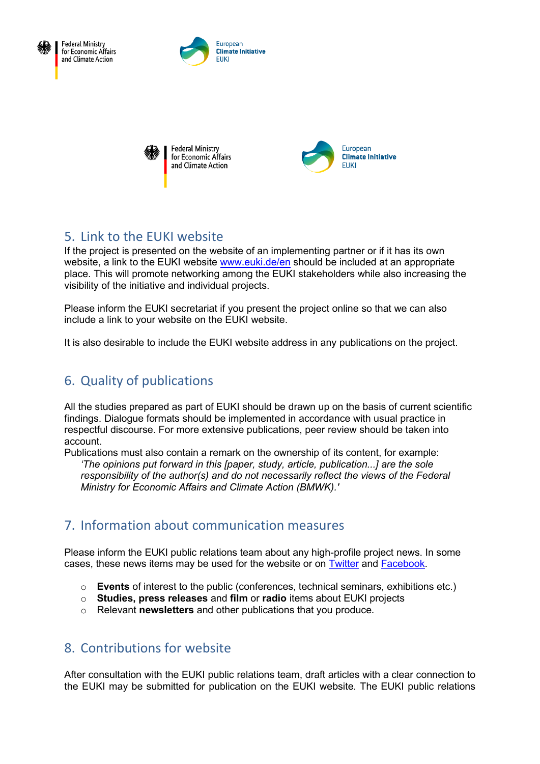

**Federal Ministry** for Economic Affairs and Climate Action







#### <span id="page-2-0"></span>5. Link to the EUKI website

If the project is presented on the website of an implementing partner or if it has its own website, a link to the EUKI website [www.euki.de/en](http://www.euki.de/en) should be included at an appropriate place. This will promote networking among the EUKI stakeholders while also increasing the visibility of the initiative and individual projects.

Please inform the EUKI secretariat if you present the project online so that we can also include a link to your website on the EUKI website.

It is also desirable to include the EUKI website address in any publications on the project.

### <span id="page-2-1"></span>6. Quality of publications

All the studies prepared as part of EUKI should be drawn up on the basis of current scientific findings. Dialogue formats should be implemented in accordance with usual practice in respectful discourse. For more extensive publications, peer review should be taken into account.

Publications must also contain a remark on the ownership of its content, for example: *'The opinions put forward in this [paper, study, article, publication...] are the sole responsibility of the author(s) and do not necessarily reflect the views of the Federal Ministry for Economic Affairs and Climate Action (BMWK).'*

#### <span id="page-2-2"></span>7. Information about communication measures

Please inform the EUKI public relations team about any high-profile project news. In some cases, these news items may be used for the website or on [Twitter](https://twitter.com/EUKI_Climate) and [Facebook.](https://www.facebook.com/EUKIClimate)

- o **Events** of interest to the public (conferences, technical seminars, exhibitions etc.)
- o **Studies, press releases** and **film** or **radio** items about EUKI projects
- o Relevant **newsletters** and other publications that you produce.

#### <span id="page-2-3"></span>8. Contributions for website

After consultation with the EUKI public relations team, draft articles with a clear connection to the EUKI may be submitted for publication on the EUKI website. The EUKI public relations